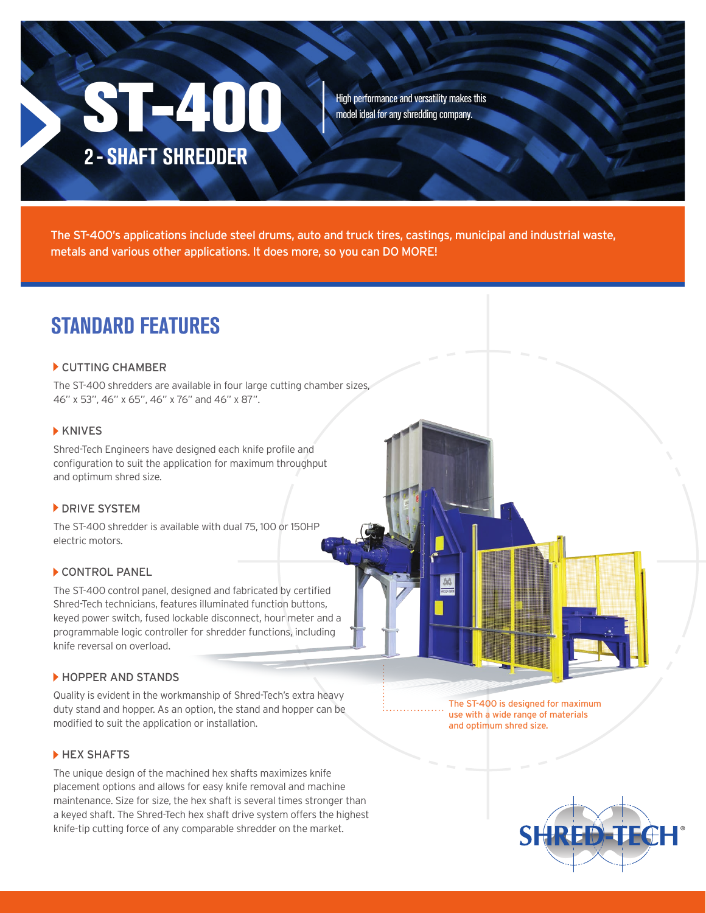# **ST-400** 2 - SHAFT SHREDDER

High performance and versatility makes this model ideal for any shredding company.

The ST-400's applications include steel drums, auto and truck tires, castings, municipal and industrial waste, metals and various other applications. It does more, so you can DO MORE!

### STANDARD FEATURES

#### CUTTING CHAMBER

The ST-400 shredders are available in four large cutting chamber sizes, 46" x 53", 46" x 65", 46" x 76" and 46" x 87".

#### **KNIVES**

Shred-Tech Engineers have designed each knife profile and configuration to suit the application for maximum throughput and optimum shred size.

#### **DRIVE SYSTEM**

The ST-400 shredder is available with dual 75, 100 or 150HP electric motors.

#### CONTROL PANEL

The ST-400 control panel, designed and fabricated by certified Shred-Tech technicians, features illuminated function buttons, keyed power switch, fused lockable disconnect, hour meter and a programmable logic controller for shredder functions, including knife reversal on overload.

#### **HOPPER AND STANDS**

Quality is evident in the workmanship of Shred-Tech's extra heavy duty stand and hopper. As an option, the stand and hopper can be modified to suit the application or installation.

#### HEX SHAFTS

The unique design of the machined hex shafts maximizes knife placement options and allows for easy knife removal and machine maintenance. Size for size, the hex shaft is several times stronger than a keyed shaft. The Shred-Tech hex shaft drive system offers the highest knife-tip cutting force of any comparable shredder on the market.

The ST-400 is designed for maximum use with a wide range of materials and optimum shred size.